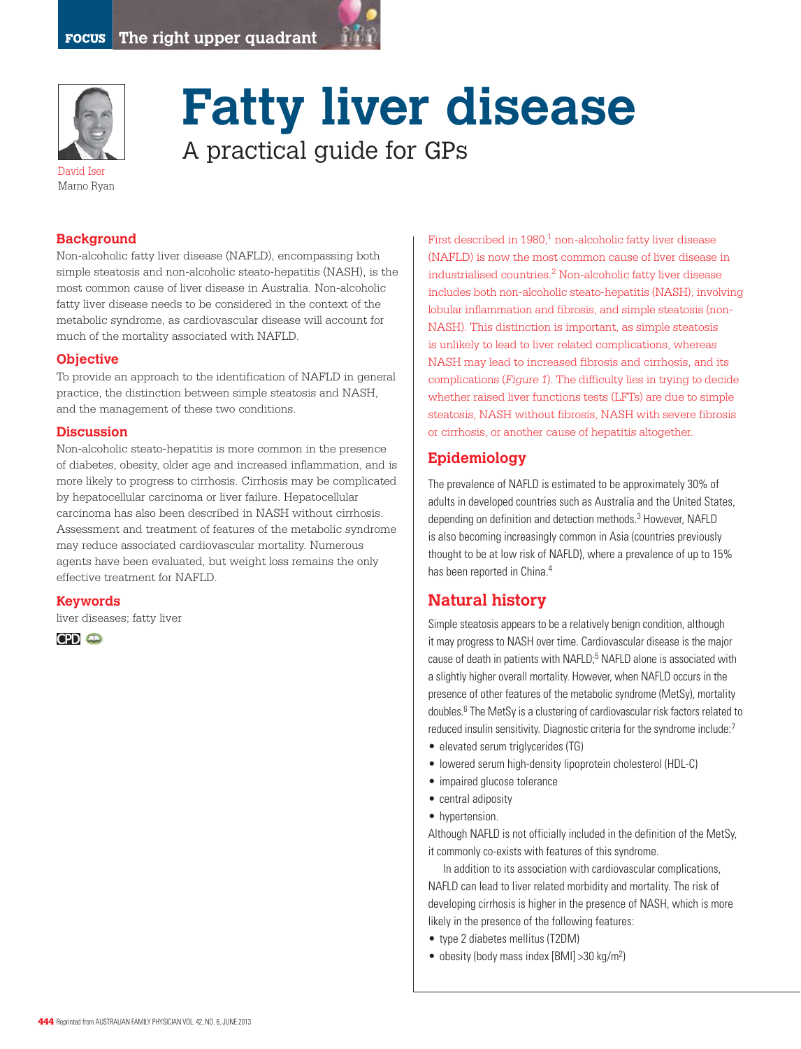



# **Fatty liver disease**  A practical guide for GPs

David Iser Marno Ryan

## **Background**

Non-alcoholic fatty liver disease (NAFLD), encompassing both simple steatosis and non-alcoholic steato-hepatitis (NASH), is the most common cause of liver disease in Australia. Non-alcoholic fatty liver disease needs to be considered in the context of the metabolic syndrome, as cardiovascular disease will account for much of the mortality associated with NAFLD.

#### **Objective**

To provide an approach to the identification of NAFLD in general practice, the distinction between simple steatosis and NASH, and the management of these two conditions.

#### **Discussion**

Non-alcoholic steato-hepatitis is more common in the presence of diabetes, obesity, older age and increased inflammation, and is more likely to progress to cirrhosis. Cirrhosis may be complicated by hepatocellular carcinoma or liver failure. Hepatocellular carcinoma has also been described in NASH without cirrhosis. Assessment and treatment of features of the metabolic syndrome may reduce associated cardiovascular mortality. Numerous agents have been evaluated, but weight loss remains the only effective treatment for NAFLD.

#### **Keywords**

liver diseases; fatty liver



First described in 1980,<sup>1</sup> non-alcoholic fatty liver disease (NAFLD) is now the most common cause of liver disease in industrialised countries.2 Non-alcoholic fatty liver disease includes both non-alcoholic steato-hepatitis (NASH), involving lobular inflammation and fibrosis, and simple steatosis (non-NASH). This distinction is important, as simple steatosis is unlikely to lead to liver related complications, whereas NASH may lead to increased fibrosis and cirrhosis, and its complications (Figure 1). The difficulty lies in trying to decide whether raised liver functions tests (LFTs) are due to simple steatosis, NASH without fibrosis, NASH with severe fibrosis or cirrhosis, or another cause of hepatitis altogether.

## **Epidemiology**

The prevalence of NAFLD is estimated to be approximately 30% of adults in developed countries such as Australia and the United States, depending on definition and detection methods.<sup>3</sup> However, NAFLD is also becoming increasingly common in Asia (countries previously thought to be at low risk of NAFLD), where a prevalence of up to 15% has been reported in China.<sup>4</sup>

# **Natural history**

Simple steatosis appears to be a relatively benign condition, although it may progress to NASH over time. Cardiovascular disease is the major cause of death in patients with NAFLD;<sup>5</sup> NAFLD alone is associated with a slightly higher overall mortality. However, when NAFLD occurs in the presence of other features of the metabolic syndrome (MetSy), mortality doubles.<sup>6</sup> The MetSy is a clustering of cardiovascular risk factors related to reduced insulin sensitivity. Diagnostic criteria for the syndrome include:7

- elevated serum triglycerides (TG)
- lowered serum high-density lipoprotein cholesterol (HDL-C)
- impaired glucose tolerance
- central adiposity
- hypertension.

Although NAFLD is not officially included in the definition of the MetSy, it commonly co-exists with features of this syndrome.

In addition to its association with cardiovascular complications, NAFLD can lead to liver related morbidity and mortality. The risk of developing cirrhosis is higher in the presence of NASH, which is more likely in the presence of the following features:

- type 2 diabetes mellitus (T2DM)
- obesity (body mass index [BMI]  $>$  30 kg/m<sup>2</sup>)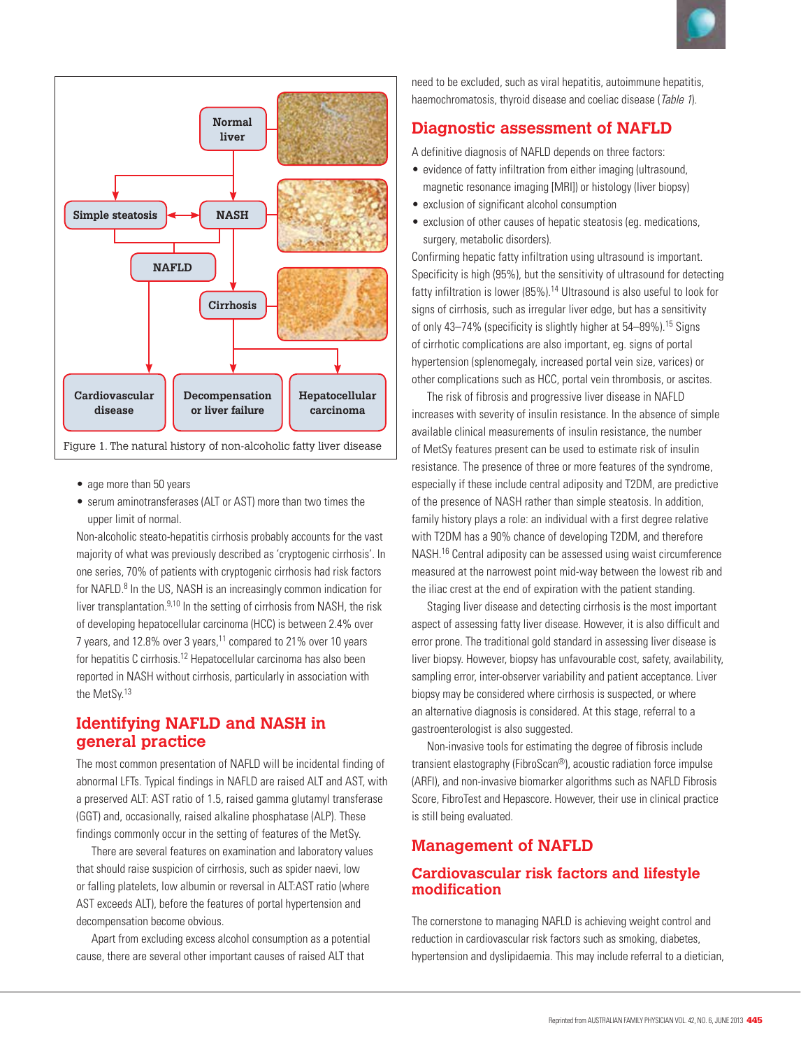



- age more than 50 years
- serum aminotransferases (ALT or AST) more than two times the upper limit of normal.

Non-alcoholic steato-hepatitis cirrhosis probably accounts for the vast majority of what was previously described as 'cryptogenic cirrhosis'. In one series, 70% of patients with cryptogenic cirrhosis had risk factors for NAFLD.<sup>8</sup> In the US, NASH is an increasingly common indication for liver transplantation. $9,10$  In the setting of cirrhosis from NASH, the risk of developing hepatocellular carcinoma (HCC) is between 2.4% over 7 years, and 12.8% over 3 years, <sup>11</sup> compared to 21% over 10 years for hepatitis C cirrhosis.12 Hepatocellular carcinoma has also been reported in NASH without cirrhosis, particularly in association with the MetSy.13

# **Identifying NAFLD and NASH in general practice**

The most common presentation of NAFLD will be incidental finding of abnormal LFTs. Typical findings in NAFLD are raised ALT and AST, with a preserved ALT: AST ratio of 1.5, raised gamma glutamyl transferase (GGT) and, occasionally, raised alkaline phosphatase (ALP). These findings commonly occur in the setting of features of the MetSy.

There are several features on examination and laboratory values that should raise suspicion of cirrhosis, such as spider naevi, low or falling platelets, low albumin or reversal in ALT:AST ratio (where AST exceeds ALT), before the features of portal hypertension and decompensation become obvious.

Apart from excluding excess alcohol consumption as a potential cause, there are several other important causes of raised ALT that

need to be excluded, such as viral hepatitis, autoimmune hepatitis, haemochromatosis, thyroid disease and coeliac disease (Table 1).

# **Diagnostic assessment of NAFLD**

A definitive diagnosis of NAFLD depends on three factors:

- evidence of fatty infiltration from either imaging (ultrasound, magnetic resonance imaging [MRI]) or histology (liver biopsy)
- exclusion of significant alcohol consumption
- exclusion of other causes of hepatic steatosis (eq. medications, surgery, metabolic disorders).

Confirming hepatic fatty infiltration using ultrasound is important. Specificity is high (95%), but the sensitivity of ultrasound for detecting fatty infiltration is lower (85%).<sup>14</sup> Ultrasound is also useful to look for signs of cirrhosis, such as irregular liver edge, but has a sensitivity of only 43–74% (specificity is slightly higher at 54–89%).15 Signs of cirrhotic complications are also important, eg. signs of portal hypertension (splenomegaly, increased portal vein size, varices) or other complications such as HCC, portal vein thrombosis, or ascites.

The risk of fibrosis and progressive liver disease in NAFLD increases with severity of insulin resistance. In the absence of simple available clinical measurements of insulin resistance, the number of MetSy features present can be used to estimate risk of insulin resistance. The presence of three or more features of the syndrome, especially if these include central adiposity and T2DM, are predictive of the presence of NASH rather than simple steatosis. In addition, family history plays a role: an individual with a first degree relative with T2DM has a 90% chance of developing T2DM, and therefore NASH.16 Central adiposity can be assessed using waist circumference measured at the narrowest point mid-way between the lowest rib and the iliac crest at the end of expiration with the patient standing.

Staging liver disease and detecting cirrhosis is the most important aspect of assessing fatty liver disease. However, it is also difficult and error prone. The traditional gold standard in assessing liver disease is liver biopsy. However, biopsy has unfavourable cost, safety, availability, sampling error, inter-observer variability and patient acceptance. Liver biopsy may be considered where cirrhosis is suspected, or where an alternative diagnosis is considered. At this stage, referral to a gastroenterologist is also suggested.

Non-invasive tools for estimating the degree of fibrosis include transient elastography (FibroScan®), acoustic radiation force impulse (ARFI), and non-invasive biomarker algorithms such as NAFLD Fibrosis Score, FibroTest and Hepascore. However, their use in clinical practice is still being evaluated.

## **Management of NAFLD**

## **Cardiovascular risk factors and lifestyle modification**

The cornerstone to managing NAFLD is achieving weight control and reduction in cardiovascular risk factors such as smoking, diabetes, hypertension and dyslipidaemia. This may include referral to a dietician,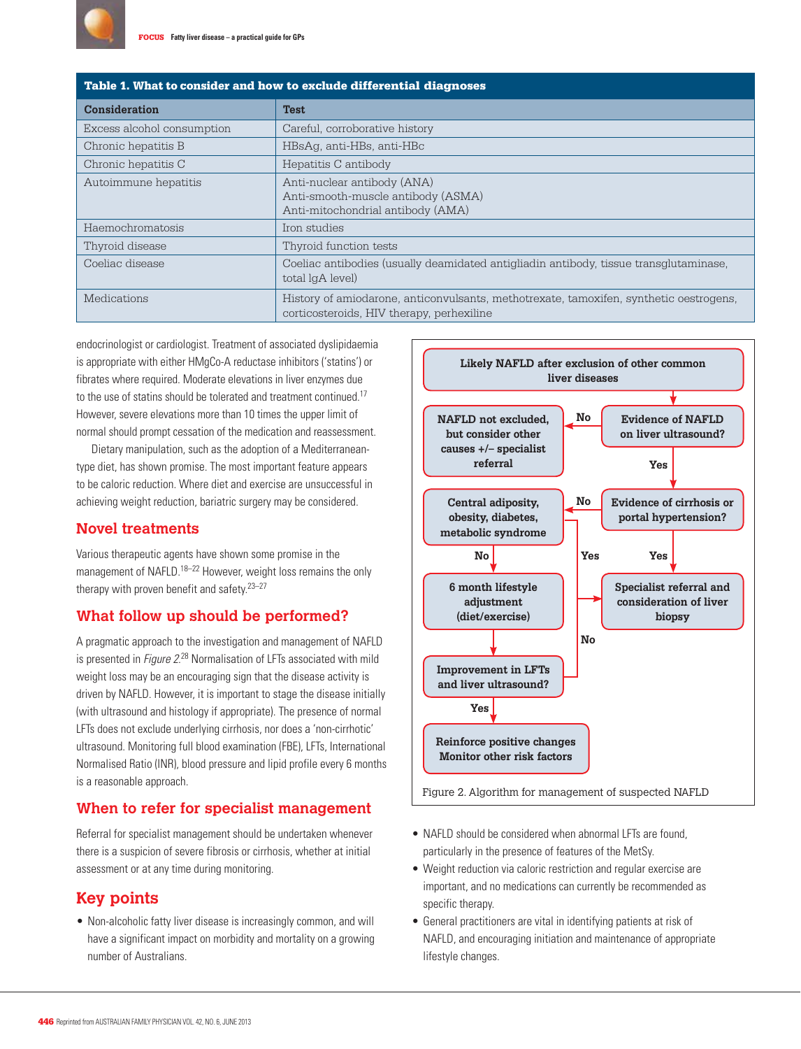

| Table 1. What to consider and how to exclude differential diagnoses |                                                                                                                                     |
|---------------------------------------------------------------------|-------------------------------------------------------------------------------------------------------------------------------------|
| <b>Consideration</b>                                                | <b>Test</b>                                                                                                                         |
| Excess alcohol consumption                                          | Careful, corroborative history                                                                                                      |
| Chronic hepatitis B                                                 | HBsAq, anti-HBs, anti-HBc                                                                                                           |
| Chronic hepatitis C                                                 | Hepatitis C antibody                                                                                                                |
| Autoimmune hepatitis                                                | Anti-nuclear antibody (ANA)<br>Anti-smooth-muscle antibody (ASMA)<br>Anti-mitochondrial antibody (AMA)                              |
| Haemochromatosis                                                    | Iron studies                                                                                                                        |
| Thyroid disease                                                     | Thyroid function tests                                                                                                              |
| Coeliac disease                                                     | Coeliac antibodies (usually deamidated antigliadin antibody, tissue transglutaminase,<br>total lgA level)                           |
| Medications                                                         | History of amiodarone, anticonvulsants, methotrexate, tamoxifen, synthetic oestrogens,<br>corticosteroids, HIV therapy, perhexiline |

endocrinologist or cardiologist. Treatment of associated dyslipidaemia is appropriate with either HMgCo-A reductase inhibitors ('statins') or fibrates where required. Moderate elevations in liver enzymes due to the use of statins should be tolerated and treatment continued.<sup>17</sup> However, severe elevations more than 10 times the upper limit of normal should prompt cessation of the medication and reassessment.

Dietary manipulation, such as the adoption of a Mediterraneantype diet, has shown promise. The most important feature appears to be caloric reduction. Where diet and exercise are unsuccessful in achieving weight reduction, bariatric surgery may be considered.

### **Novel treatments**

Various therapeutic agents have shown some promise in the management of NAFLD.<sup>18–22</sup> However, weight loss remains the only therapy with proven benefit and safety.23–27

#### **What follow up should be performed?**

A pragmatic approach to the investigation and management of NAFLD is presented in Figure 2.<sup>28</sup> Normalisation of LFTs associated with mild weight loss may be an encouraging sign that the disease activity is driven by NAFLD. However, it is important to stage the disease initially (with ultrasound and histology if appropriate). The presence of normal LFTs does not exclude underlying cirrhosis, nor does a 'non-cirrhotic' ultrasound. Monitoring full blood examination (FBE), LFTs, International Normalised Ratio (INR), blood pressure and lipid profile every 6 months is a reasonable approach.

## **When to refer for specialist management**

Referral for specialist management should be undertaken whenever there is a suspicion of severe fibrosis or cirrhosis, whether at initial assessment or at any time during monitoring.

## **Key points**

• Non-alcoholic fatty liver disease is increasingly common, and will have a significant impact on morbidity and mortality on a growing number of Australians.



- NAFLD should be considered when abnormal LFTs are found, particularly in the presence of features of the MetSy.
- Weight reduction via caloric restriction and regular exercise are important, and no medications can currently be recommended as specific therapy.
- General practitioners are vital in identifying patients at risk of NAFLD, and encouraging initiation and maintenance of appropriate lifestyle changes.